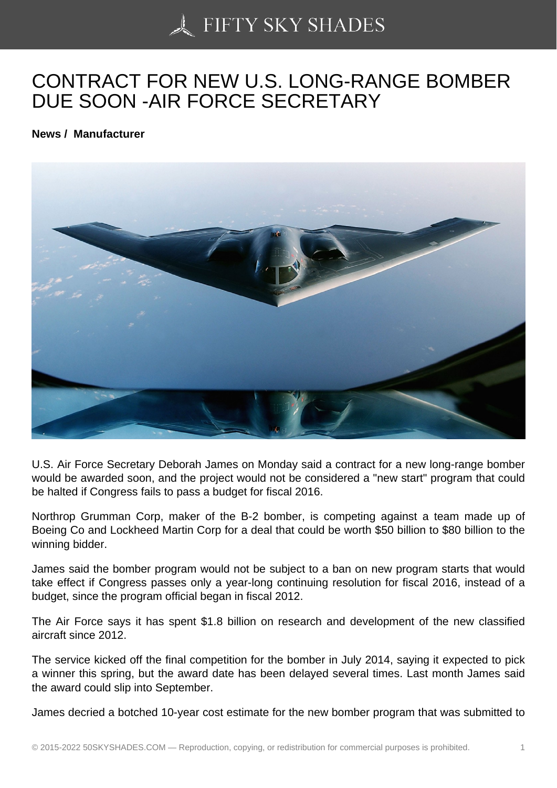## [CONTRACT FOR NEW](https://50skyshades.com) U.S. LONG-RANGE BOMBER DUE SOON -AIR FORCE SECRETARY

News / Manufacturer

U.S. Air Force Secretary Deborah James on Monday said a contract for a new long-range bomber would be awarded soon, and the project would not be considered a "new start" program that could be halted if Congress fails to pass a budget for fiscal 2016.

Northrop Grumman Corp, maker of the B-2 bomber, is competing against a team made up of Boeing Co and Lockheed Martin Corp for a deal that could be worth \$50 billion to \$80 billion to the winning bidder.

James said the bomber program would not be subject to a ban on new program starts that would take effect if Congress passes only a year-long continuing resolution for fiscal 2016, instead of a budget, since the program official began in fiscal 2012.

The Air Force says it has spent \$1.8 billion on research and development of the new classified aircraft since 2012.

The service kicked off the final competition for the bomber in July 2014, saying it expected to pick a winner this spring, but the award date has been delayed several times. Last month James said the award could slip into September.

James decried a botched 10-year cost estimate for the new bomber program that was submitted to